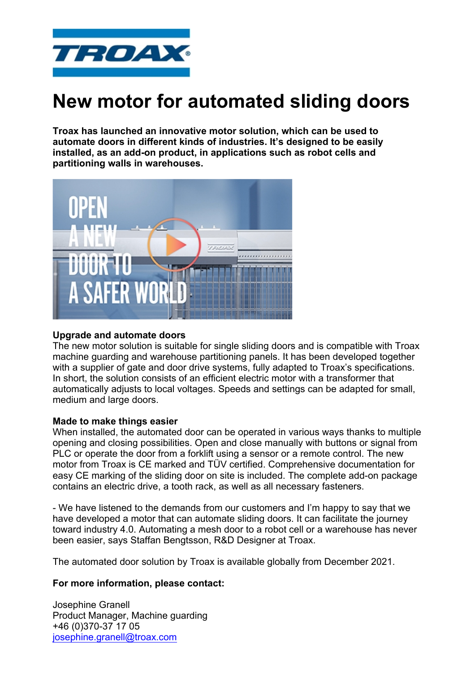

# **New motor for automated sliding doors**

**Troax has launched an innovative motor solution, which can be used to automate doors in different kinds of industries. It's designed to be easily installed, as an add-on product, in applications such as robot cells and partitioning walls in warehouses.** 



## **Upgrade and automate doors**

The new motor solution is suitable for single sliding doors and is compatible with Troax machine guarding and warehouse partitioning panels. It has been developed together with a supplier of gate and door drive systems, fully adapted to Troax's specifications. In short, the solution consists of an efficient electric motor with a transformer that automatically adjusts to local voltages. Speeds and settings can be adapted for small, medium and large doors.

## **Made to make things easier**

When installed, the automated door can be operated in various ways thanks to multiple opening and closing possibilities. Open and close manually with buttons or signal from PLC or operate the door from a forklift using a sensor or a remote control. The new motor from Troax is CE marked and TÜV certified. Comprehensive documentation for easy CE marking of the sliding door on site is included. The complete add-on package contains an electric drive, a tooth rack, as well as all necessary fasteners.

- We have listened to the demands from our customers and I'm happy to say that we have developed a motor that can automate sliding doors. It can facilitate the journey toward industry 4.0. Automating a mesh door to a robot cell or a warehouse has never been easier, says Staffan Bengtsson, R&D Designer at Troax.

The automated door solution by Troax is available globally from December 2021.

## **For more information, please contact:**

Josephine Granell Product Manager, Machine guarding +46 (0)370-37 17 05 [josephine.granell@troax.com](mailto:josephine.granell@troax.com?subject=New%20motor%20for%20automated%20sliding%20doors)